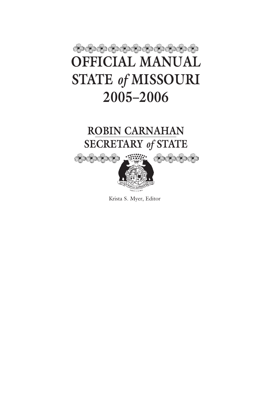# ෯෯෯෯෯෯෯෯෯෯෯ **OFFICIAL MANUAL STATE** *of* **MISSOURI 2005–2006**

## **ROBIN CARNAHAN SECRETARY** *of* **STATE**

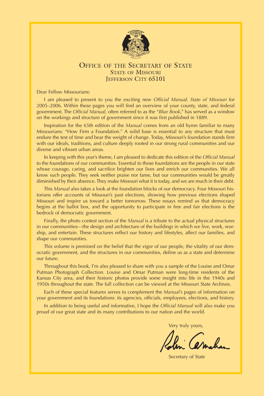

### OFFICE OF THE SECRETARY OF STATE STATE OF MISSOURI JEFFERSON CITY 65101

Dear Fellow Missourians:

I am pleased to present to you the exciting new *Official Manual, State of Missouri* for 2005–2006. Within these pages you will find an overview of your county, state, and federal government. The *Official Manual*, often referred to as the "*Blue Book*," has served as a window on the workings and structure of government since it was first published in 1889.

Inspiration for the 65th edition of the *Manual* comes from an old hymn familiar to many Missourians: "How Firm a Foundation." A solid base is essential to any structure that must endure the test of time and bear the weight of change. Today, Missouri's foundation stands firm with our ideals, traditions, and culture deeply rooted in our strong rural communities and our diverse and vibrant urban areas.

In keeping with this year's theme, I am pleased to dedicate this edition of the *Official Manual* to the foundations of our communities. Essential to those foundations are the people in our state whose courage, caring, and sacrifice brighten our lives and enrich our communities. We all know such people. They seek neither praise nor fame, but our communities would be greatly diminished by their absence. They make Missouri what it is today, and we are much in their debt.

This *Manual* also takes a look at the foundation blocks of our democracy. Four Missouri historians offer accounts of Missouri's past elections, showing how previous elections shaped Missouri and inspire us toward a better tomorrow. These essays remind us that democracy begins at the ballot box, and the opportunity to participate in free and fair elections is the bedrock of democratic government.

Finally, the photo contest section of the *Manual* is a tribute to the actual physical structures in our communities—the design and architecture of the buildings in which we live, work, worship, and entertain. These structures reflect our history and lifestyles, affect our families, and shape our communities.

This volume is premised on the belief that the vigor of our people, the vitality of our democratic government, and the structures in our communities, define us as a state and determine our future.

Throughout this book, I'm also pleased to share with you a sample of the Louise and Omar Putman Photograph Collection. Louise and Omar Putman were long-time residents of the Kansas City area, and their historic photos provide some insight into life in the 1940s and 1950s throughout the state. The full collection can be viewed at the Missouri State Archives.

Each of these special features serves to complement the *Manual's* pages of information on your government and its foundations: its agencies, officials, employees, elections, and history.

In addition to being useful and informative, I hope the *Official Manual* will also make you proud of our great state and its many contributions to our nation and the world.

Very truly yours,

Secretary of State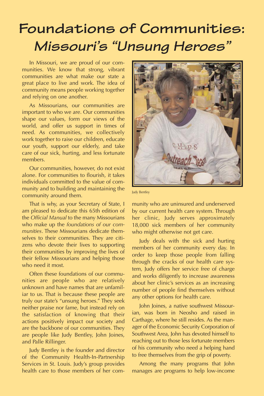# **Foundations of Communities: Missouri's "Unsung Heroes"**

In Missouri, we are proud of our communities. We know that strong, vibrant communities are what make our state a great place to live and work. The idea of community means people working together and relying on one another.

As Missourians, our communities are important to who we are. Our communities shape our values, form our views of the world, and offer us support in times of need. As communities, we collectively work together to raise our children, educate our youth, support our elderly, and take care of our sick, hurting, and less fortunate members.

Our communities, however, do not exist alone. For communities to flourish, it takes individuals committed to the value of community and to building and maintaining the community around them.

That is why, as your Secretary of State, I am pleased to dedicate this 65th edition of the *Official Manual* to the many Missourians who make up the *foundations of our communities*. These Missourians dedicate themselves to their communities. They are citizens who devote their lives to supporting their communities by improving the lives of their fellow Missourians and helping those who need it most.

Often these foundations of our communities are people who are relatively unknown and have names that are unfamiliar to us. That is because these people are truly our state's "unsung heroes." They seek neither praise nor fame, but instead rely on the satisfaction of knowing that their actions positively impact our society and are the backbone of our communities. They are people like Judy Bentley, John Joines, and Palle Rillinger.

Judy Bentley is the founder and director of the Community Health-In-Partnership Services in St. Louis. Judy's group provides health care to those members of her com-



Judy Bentley

munity who are uninsured and underserved by our current health care system. Through her clinic, Judy serves approximately 18,000 sick members of her community who might otherwise not get care.

Judy deals with the sick and hurting members of her community every day. In order to keep those people from falling through the cracks of our health care system, Judy offers her service free of charge and works diligently to increase awareness about her clinic's services as an increasing number of people find themselves without any other options for health care.

John Joines, a native southwest Missourian, was born in Neosho and raised in Carthage, where he still resides. As the manager of the Economic Security Corporation of Southwest Area, John has devoted himself to reaching out to those less fortunate members of his community who need a helping hand to free themselves from the grip of poverty.

Among the many programs that John manages are programs to help low-income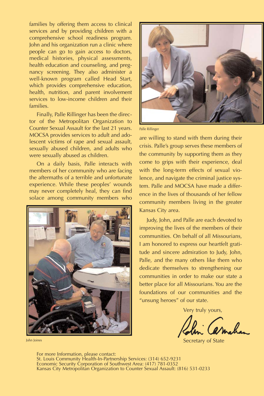families by offering them access to clinical services and by providing children with a comprehensive school readiness program. John and his organization run a clinic where people can go to gain access to doctors, medical histories, physical assessments, health education and counseling, and pregnancy screening. They also administer a well-known program called Head Start, which provides comprehensive education, health, nutrition, and parent involvement services to low-income children and their families.

Finally, Palle Rillinger has been the director of the Metropolitan Organization to Counter Sexual Assault for the last 21 years. MOCSA provides services to adult and adolescent victims of rape and sexual assault, sexually abused children, and adults who were sexually abused as children.

On a daily basis, Palle interacts with members of her community who are facing the aftermaths of a terrible and unfortunate experience. While these peoples' wounds may never completely heal, they can find solace among community members who







Palle Rillinger

are willing to stand with them during their crisis. Palle's group serves these members of the community by supporting them as they come to grips with their experience, deal with the long-term effects of sexual violence, and navigate the criminal justice system. Palle and MOCSA have made a difference in the lives of thousands of her fellow community members living in the greater Kansas City area.

Judy, John, and Palle are each devoted to improving the lives of the members of their communities. On behalf of all Missourians, I am honored to express our heartfelt gratitude and sincere admiration to Judy, John, Palle, and the many others like them who dedicate themselves to strengthening our communities in order to make our state a better place for all Missourians. You are the foundations of our communities and the "unsung heroes" of our state.

Very truly yours,

Secretary of State

For more Information, please contact: St. Louis Community Health-In-Partnership Services: (314) 652-9231 Economic Security Corporation of Southwest Area: (417) 781-0352 Kansas City Metropolitan Organization to Counter Sexual Assault: (816) 531-0233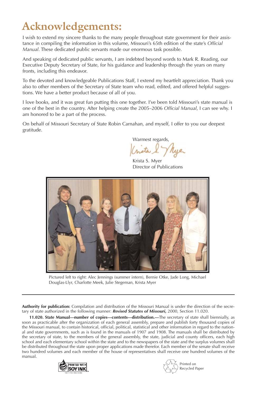## **Acknowledgements:**

I wish to extend my sincere thanks to the many people throughout state government for their assistance in compiling the information in this volume, Missouri's 65th edition of the state's *Official Manual*. These dedicated public servants made our enormous task possible.

And speaking of dedicated public servants, I am indebted beyond words to Mark R. Reading, our Executive Deputy Secretary of State, for his guidance and leadership through the years on many fronts, including this endeavor.

To the devoted and knowledgeable Publications Staff, I extend my heartfelt appreciation. Thank you also to other members of the Secretary of State team who read, edited, and offered helpful suggestions. We have a better product because of all of you.

I love books, and it was great fun putting this one together. I've been told Missouri's state manual is one of the best in the country. After helping create the 2005–2006 *Official Manual*, I can see why. I am honored to be a part of the process.

On behalf of Missouri Secretary of State Robin Carnahan, and myself, I offer to you our deepest gratitude.

Warmest regards,

Krista S. Myer Director of Publications



Pictured left to right: Alec Jennings (summer intern), Bernie Otke, Jade Long, Michael Douglas-Llyr, Charlotte Meek, Julie Stegeman, Krista Myer

**Authority for publication:** Compilation and distribution of the Missouri Manual is under the direction of the secretary of state authorized in the following manner: *Revised Statutes of Missouri,* 2000, Section 11.020.

**11.020. State Manual—number of copies—contents—distribution.—**The secretary of state shall biennially, as soon as practicable after the organization of each general assembly, prepare and publish forty thousand copies of the Missouri manual, to contain historical, official, political, statistical and other information in regard to the national and state governments, such as is found in the manuals of 1907 and 1908. The manuals shall be distributed by the secretary of state, to the members of the general assembly, the state, judicial and county officers, each high school and each elementary school within the state and to the newspapers of the state and the surplus volumes shall be distributed throughout the state upon proper applications made therefor. Each member of the senate shall receive two hundred volumes and each member of the house of representatives shall receive one hundred volumes of the manual.



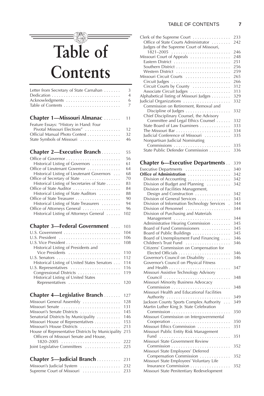### $\equiv$ **Table of Contents**

| Chapter 1-Missouri Almanac  11          |                     |
|-----------------------------------------|---------------------|
| Acknowledgments                         | 6<br>$\overline{7}$ |
|                                         | $\overline{4}$      |
| Letter from Secretary of State Carnahan | -3                  |

| Feature Essays: "History in Hand: Four |  |
|----------------------------------------|--|
| Pivotal Missouri Elections"  12        |  |
| Official Manual Photo Contest 32       |  |
|                                        |  |

| -55 |
|-----|
|     |

| 56  |
|-----|
| 61  |
| 64  |
| 68  |
| 70  |
| 83  |
| 84  |
| 88  |
| 90  |
| 94  |
| 96  |
| 102 |
|     |

### **Chapter 3-Federal Government** .... 103

|                                              | 104 |
|----------------------------------------------|-----|
| U.S. President                               | 106 |
|                                              | 108 |
| Historical Listing of Presidents and         |     |
| Vice Presidents                              | 110 |
|                                              | 112 |
| Historical Listing of United States Senators | 114 |
| U.S. Representatives                         | 116 |
| Congressional Districts  119                 |     |
| Historical Listing of United States          |     |
| Representatives  120                         |     |
|                                              |     |

### **Chapter 4—Legislative Branch** . . . . . . . 127

| Missouri General Assembly  128                        |     |
|-------------------------------------------------------|-----|
| Missouri Senate  131                                  |     |
| Missouri's Senate Districts                           | 145 |
| Senatorial Districts by Municipality                  | 146 |
| Missouri House of Representatives 153                 |     |
| Missouri's House Districts  213                       |     |
| House of Representative Districts by Municipality 215 |     |
| Officers of Missouri Senate and House,                |     |
|                                                       |     |
| Joint Legislative Committees  225                     |     |
|                                                       |     |

### **Chapter 5—Judicial Branch** . . . . . . . . . . 231

| Missouri's Judicial System |  |  |  |  |  |  |  |  |  | 232  |
|----------------------------|--|--|--|--|--|--|--|--|--|------|
| Supreme Court of Missouri  |  |  |  |  |  |  |  |  |  | -233 |

| Clerk of the Supreme Court                                        | 233 |
|-------------------------------------------------------------------|-----|
| Office of State Courts Administrator                              | 242 |
| Judges of the Supreme Court of Missouri,                          |     |
| $1821 - 2005$                                                     | 246 |
| Missouri Court of Appeals                                         | 248 |
| Eastern District                                                  | 251 |
|                                                                   | 256 |
| Western District                                                  | 259 |
| Missouri Circuit Courts                                           | 265 |
|                                                                   | 266 |
| Circuit Courts by County                                          | 312 |
| Associate Circuit Judges                                          | 313 |
| Alphabetical listing of Missouri Judges                           | 329 |
| Judicial Organizations                                            | 332 |
| Commission on Retirement, Removal and                             |     |
|                                                                   | 332 |
| Chief Disciplinary Counsel, the Advisory                          |     |
| Committee and Legal Ethics Counsel                                | 332 |
| State Board of Law Examiners                                      | 333 |
|                                                                   | 334 |
| Judicial Conference of Missouri                                   | 335 |
| Nonpartisan Judicial Nominating                                   |     |
| Commissions                                                       | 335 |
| State Public Defender Commission                                  | 336 |
|                                                                   |     |
| <b>Chapter 6—Executive Departments</b>                            | 339 |
| Executive Departments                                             | 340 |
| Office of Administration                                          | 342 |
| Division of Accounting                                            | 342 |
| Division of Budget and Planning                                   |     |
|                                                                   | 342 |
| Division of Facilities Management,                                |     |
| Design and Construction                                           | 342 |
| Division of General Services                                      | 343 |
| Division of Information Technology Services                       | 344 |
| Division of Personnel                                             | 344 |
| Division of Purchasing and Materials                              |     |
| Management                                                        | 344 |
| Administrative Hearing Commission                                 | 345 |
| Board of Fund Commissioners                                       | 345 |
| Board of Public Buildings                                         | 345 |
| Board of Unemployment Fund Financing                              | 346 |
|                                                                   | 346 |
| Children's Trust Fund<br>Citizens' Commission on Compensation for |     |
|                                                                   | 346 |
| Governor's Council on Disability                                  | 346 |
| Governor's Council on Physical Fitness                            |     |
|                                                                   | 347 |
| Missouri Assistive Technology Advisory                            |     |
| Council                                                           | 348 |
| Missouri Minority Business Advocacy                               |     |
|                                                                   | 348 |
| Missouri Health and Educational Facilities                        |     |
|                                                                   | 349 |
| Jackson County Sports Complex Authority                           | 349 |
| Martin Luther King Jr. State Celebration                          |     |
|                                                                   |     |
|                                                                   | 350 |
| Missouri Commission on Intergovernmental                          |     |
|                                                                   | 350 |
| Missouri Ethics Commission                                        | 351 |
| Missouri Public Entity Risk Management                            |     |
| Fund                                                              | 351 |
| Missouri State Government Review                                  |     |
|                                                                   | 352 |
| Missouri State Employees' Deferred                                |     |
| Compensation Commission                                           | 352 |
| Missouri State Employees' Voluntary Life                          |     |
|                                                                   |     |
| Insurance Commission<br>Missouri State Penitentiary Redevelopment | 352 |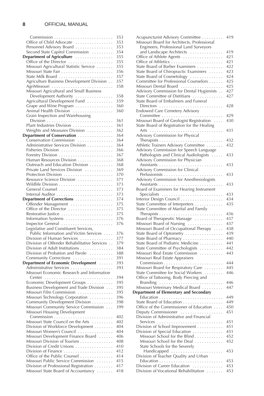|                                              | 353 |
|----------------------------------------------|-----|
| Office of Child Advocate                     | 353 |
| Personnel Advisory Board                     | 353 |
| Second State Capitol Commission              | 354 |
|                                              | 355 |
| Department of Agriculture                    |     |
| Office of the Director                       | 355 |
| Missouri Agricultural Statistic Service      | 355 |
|                                              | 356 |
| State Milk Board                             | 357 |
| Agriculture Business Development Division    | 357 |
| AgriMissouri                                 | 358 |
| Missouri Agricultural and Small Business     |     |
| Development Authority                        | 358 |
| Agricultural Development Fund                | 359 |
|                                              |     |
| Grape and Wine Program                       | 360 |
| Animal Health Division                       | 360 |
| Grain Inspection and Warehousing             |     |
|                                              | 361 |
| Plant Industries Division                    | 361 |
| Weights and Measures Division                | 362 |
| Department of Conservation                   | 364 |
| Conservation Commission                      | 364 |
| Administrative Services Division             | 364 |
| Fisheries Division                           | 366 |
|                                              | 367 |
| Human Resources Division                     | 368 |
|                                              |     |
| Outreach and Education Division              | 368 |
| Private Land Services Division               | 369 |
| Protection Division                          | 370 |
| Resource Science Division                    | 371 |
|                                              | 373 |
| General Counsel                              | 373 |
|                                              | 373 |
| Department of Corrections                    | 374 |
| Offender Management                          | 375 |
| Office of the Director                       | 375 |
| Restorative Justice                          | 375 |
|                                              |     |
| Information Systems                          | 376 |
| Inspector General                            | 376 |
| Legislative and Constituent Services,        |     |
| Public Information and Victim Services       | 376 |
| Division of Human Services                   | 377 |
| Division of Offender Rehabilitative Services | 379 |
| Division of Adult Institutions               | 384 |
| Division of Probation and Parole             | 388 |
| Community Corrections                        | 391 |
| Department of Economic Development           | 393 |
| Administrative Services                      | 393 |
| Missouri Economic Research and Information   |     |
|                                              | 394 |
|                                              |     |
| Economic Development Groups                  | 395 |
| Business Development and Trade Division      | 395 |
| Missouri Film Commission                     | 395 |
| Missouri Technology Corporation              | 396 |
| Community Development Division               | 398 |
| Missouri Community Service Commission        | 399 |
| Missouri Housing Development                 |     |
|                                              | 402 |
| Missouri State Council on the Arts           | 402 |
| Division of Workforce Development            | 404 |
| Missouri Women's Council                     | 404 |
| Missouri Development Finance Board           | 406 |
| Missouri Division of Tourism                 | 408 |
| Division of Credit Unions                    |     |
|                                              | 410 |
|                                              | 412 |
| Office of the Public Counsel                 | 414 |
| Missouri Public Service Commission           | 415 |
| Division of Professional Registration        | 417 |
| Missouri State Board of Accountancy          | 418 |

| Acupuncturist Advisory Committee                                                   | 419        |
|------------------------------------------------------------------------------------|------------|
| Missouri Board for Architects, Professional                                        |            |
| Engineers, Professional Land Surveyors                                             |            |
| and Landscape Architects                                                           | 419        |
| Office of Athlete Agents                                                           | 421        |
|                                                                                    | 421        |
| State Board of Barber Examiners                                                    | 422        |
| State Board of Chiropractic Examiners                                              | 423        |
| State Board of Cosmetology                                                         | 424        |
| Committee for Professional Counselors                                              | 425        |
| Missouri Dental Board                                                              | 425        |
| Advisory Commission for Dental Hygienists                                          | 427        |
| State Committee of Dietitians                                                      | 427        |
| State Board of Embalmers and Funeral                                               |            |
| <b>Endowed Care Cemetery Advisory</b>                                              | 428        |
|                                                                                    |            |
|                                                                                    | 429<br>430 |
| Missouri Board of Geologist Registration                                           |            |
| State Board of Registration for the Healing                                        | 431        |
| Advisory Commission for Physical                                                   |            |
|                                                                                    | 432        |
| Athletic Trainers Advisory Committee                                               | 432        |
| Advisory Commission for Speech Language                                            |            |
| Pathologists and Clinical Audiologists                                             | 433        |
| Advisory Commission for Physician                                                  |            |
|                                                                                    | 433        |
| Advisory Commission for Clinical                                                   |            |
|                                                                                    | 433        |
| Advisory Commission for Anesthesiologists                                          |            |
|                                                                                    | 433        |
| Board of Examiners for Hearing Instrument                                          |            |
| Specialists                                                                        | 433        |
| Interior Design Council                                                            | 434        |
| State Committee of Interpreters                                                    | 435        |
| State Committee of Marital and Family                                              |            |
| Therapists $\ldots \ldots \ldots \ldots \ldots \ldots \ldots \ldots \ldots \ldots$ | 436        |
| Board of Therapeutic Massage                                                       | 437        |
| Missouri Board of Nursing                                                          | 437        |
| Missouri Board of Occupational Therapy                                             | 438        |
| State Board of Optometry                                                           | 439        |
| State Board of Pharmacy                                                            | 440        |
| State Board of Podiatric Medicine                                                  | 441        |
| State Committee of Psychologists                                                   | 442        |
| Missouri Real Estate Commission                                                    | 443        |
| Missouri Real Estate Appraisers                                                    |            |
|                                                                                    | 444        |
| Missouri Board for Respiratory Care                                                | 445        |
| State Committee for Social Workers                                                 | 446        |
| Office of Tattooing, Body Piercing and                                             |            |
| Branding                                                                           | 446        |
| Missouri Veterinary Medical Board                                                  | 447        |
| Department of Elementary and Secondary                                             |            |
|                                                                                    | 449        |
| State Board of Education                                                           | 449        |
| Office of the Commissioner of Education                                            | 450        |
| Deputy Commissioner<br>Division of Administrative and Financial                    | 451        |
| Services                                                                           | 451        |
| Division of School Improvement                                                     | 451        |
| Division of Special Education                                                      | 451        |
| Missouri School for the Blind                                                      | 452        |
| Missouri School for the Deaf                                                       | 452        |
| State Schools for the Severely                                                     |            |
| Handicapped<br>.                                                                   | 453        |
| Division of Teacher Quality and Urban                                              |            |
|                                                                                    | 453        |
| Division of Career Education                                                       | 453        |
| Division of Vocational Rehabilitation                                              | 453        |
|                                                                                    |            |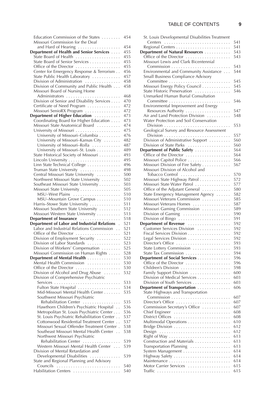#### TABLE OF CONTENTS **9**

| Education Commission of the States<br>Missouri Commission for the Deaf     | 454        | S1             |
|----------------------------------------------------------------------------|------------|----------------|
| and Hard of Hearing                                                        | 454        | R              |
| Department of Health and Senior Services                                   | 455        | Dej            |
| State Board of Health                                                      | 455        | C              |
| State Board of Senior Services                                             | 455        | Ν              |
| Office of the Director                                                     | 455        |                |
| Center for Emergency Response & Terrorism                                  | 456        | Eı             |
| State Public Health Laboratory                                             | 457        | Sı             |
| Division of Administration                                                 | 458        |                |
| Division of Community and Public Health                                    | 458        | Ν              |
| Missouri Board of Nursing Home                                             |            | Sı             |
|                                                                            | 468        | U              |
| Division of Senior and Disability Services                                 | 470        |                |
| Certificate of Need Program                                                | 472        | Eı             |
| Missouri SenioRX Program                                                   | 472        |                |
| Department of Higher Education                                             | 473<br>473 | Α<br>V         |
| Coordinating Board for Higher Education<br>Missouri State Anatomical Board | 474        |                |
|                                                                            | 475        | C              |
| University of Missouri-Columbia                                            | 476        |                |
| University of Missouri–Kansas City                                         | 482        | D              |
| University of Missouri-Rolla                                               | 487        | D              |
| University of Missouri–St. Louis                                           | 489        | De             |
| State Historical Society of Missouri                                       | 493        | C              |
|                                                                            | 495        | Ν              |
| Linn State Technical College                                               | 496        | Ν              |
| Truman State University                                                    | 498        | Ν              |
| Central Missouri State University                                          | 500        |                |
| Northwest Missouri State University                                        | 502        | Ν              |
| Southeast Missouri State University                                        | 503        | Ν              |
| Missouri State University                                                  | 505        | C              |
| MSU-West Plains                                                            | 510        | S <sub>1</sub> |
| MSU-Mountain Grove Campus                                                  | 510        | Ν              |
| Harris-Stowe State University                                              | 511        | Ν              |
| Missouri Southern State University                                         | 512        | Ν              |
| Missouri Western State University                                          | 513        | D              |
| Department of Insurance                                                    | 518        | D              |
| Department of Labor and Industrial Relations                               | 521        | De             |
| Labor and Industrial Relations Commission                                  | 521        | C              |
| Office of the Director                                                     | 521        | Fi             |
| Division of Employment Security                                            | 522        | L              |
| Division of Labor Standards                                                | 523        | D              |
| Division of Workers' Compensation                                          | 525        | Sı             |
| Missouri Commission on Human Rights                                        | 528        | Sı             |
| Department of Mental Health                                                | 530<br>530 | De             |
| Mental Health Commission                                                   | 530        | С<br>C         |
| Office of the Director<br>Division of Alcohol and Drug Abuse               | 532        | F              |
| Division of Comprehensive Psychiatric                                      |            | D              |
|                                                                            | 533        | D              |
|                                                                            | 534        | Dej            |
| Mid-Missouri Mental Health Center                                          | 535        | Si             |
| Southwest Missouri Psychiatric                                             |            |                |
| Rehabilitation Center                                                      | 535        | D              |
| Hawthorn Children's Psychiatric Hospital                                   | 536        | C              |
| Metropolitan St. Louis Psychiatric Center                                  | 536        | С              |
| St. Louis Psychiatric Rehabilitation Center                                | 537        | D              |
| Cottonwood Residential Treatment Center                                    | 537        | Ν              |
| Missouri Sexual Offender Treatment Center.                                 | 538        | В              |
| Southeast Missouri Mental Health Center.                                   | 538        | D              |

Northwest Missouri Psychiatric

Division of Mental Retardation and

State and Regional Planning and Advisory Councils . . . . . . . . . . . . . . . . . . . . . . . . . . . 540 Habilitation Centers . . . . . . . . . . . . . . . . . . . . 540

Rehabilitation Center . . . . . . . . . . . . . . . 539 Western Missouri Mental Health Center . . . 539

Developmental Disabilities . . . . . . . . . . . . . 539

| St. Louis Developmental Disabilities Treatment |            |
|------------------------------------------------|------------|
|                                                | 541        |
|                                                | 541        |
| Department of Natural Resources                | 543        |
| Office of the Director                         | 543        |
| Missouri Lewis and Clark Bicentennial          |            |
|                                                | 543        |
| Environmental and Community Assistance         | 544        |
| Small Business Compliance Advisory             |            |
|                                                | 545        |
| Missouri Energy Policy Council                 | 545        |
| State Historic Preservation                    | 546        |
| Unmarked Human Burial Consultation             |            |
|                                                | 546        |
| Environmental Improvement and Energy           |            |
| Resources Authority                            | 547        |
| Air and Land Protection Division               | 548        |
| Water Protection and Soil Conservation         |            |
|                                                | 553        |
| Geological Survey and Resource Assessment      |            |
|                                                | 557        |
| Division of Administrative Support             | 560        |
| Division of State Parks                        | 560        |
| Department of Public Safety                    | 564        |
| Office of the Director                         | 564        |
| Missouri Capitol Police                        | 566        |
| Missouri Division of Fire Safety               | 567        |
| Missouri Division of Alcohol and               |            |
|                                                | 570        |
| Missouri State Highway Patrol                  | 572        |
| Missouri State Water Patrol                    | 577        |
| Office of the Adjutant General                 | 580        |
| State Emergency Management Agency              | 582        |
| Missouri Veterans Commission                   | 585        |
| Missouri Veterans Homes                        | 587        |
| Missouri Gaming Commission                     | 589        |
| Division of Gaming                             | 590        |
| Division of Bingo                              | 591        |
| Department of Revenue                          | 592        |
| Customer Services Division                     | 592        |
| Fiscal Services Division                       | 592        |
| Legal Services Division                        | 592        |
| Director's Office                              | 593        |
| State Lottery Commission                       | 593        |
| State Tax Commission                           | 594        |
| Department of Social Services                  | 596        |
| Office of the Director                         | 596        |
| Children's Division                            | 598        |
| Family Support Division                        | 600        |
| Division of Medical Services                   | 603        |
| Division of Youth Services                     | 603        |
| Department of Transportation                   | 606        |
| State Highways and Transportation              |            |
|                                                | 607        |
| Director's Office                              | 607        |
| Commission Secretary's Office                  | 607        |
| Chief Engineer                                 | 608        |
| District Offices                               | 608        |
| Multimodal Operations                          | 610        |
| Bridge Division                                | 612        |
| Design                                         | 612        |
|                                                | 613        |
| Construction and Materials                     | 613        |
| Transportation Planning                        | 613        |
|                                                | 614<br>614 |
|                                                | 614        |
| Motor Carrier Services                         | 615        |
|                                                | 615        |
|                                                |            |